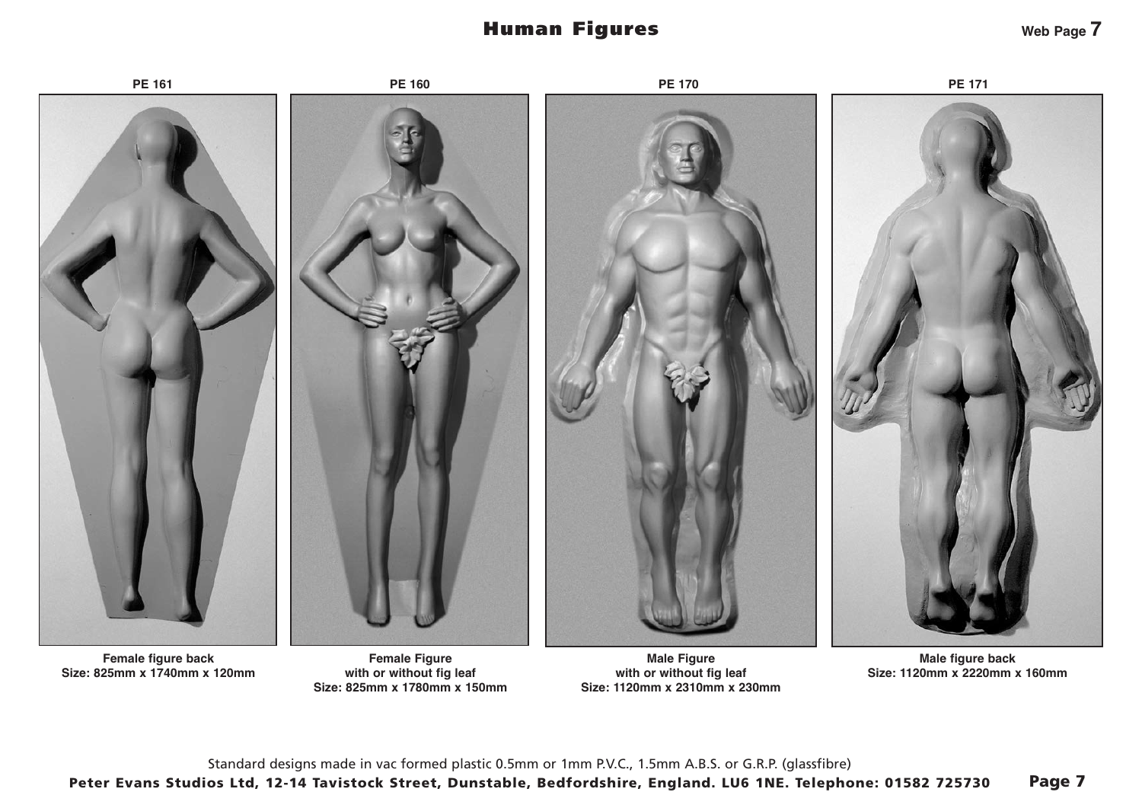## Human Figures



**Size: 825mm x 1740mm x 120mm**

**with or without fig leaf Size: 825mm x 1780mm x 150mm**

**with or without fig leaf Size: 1120mm x 2310mm x 230mm**

**Size: 1120mm x 2220mm x 160mm**